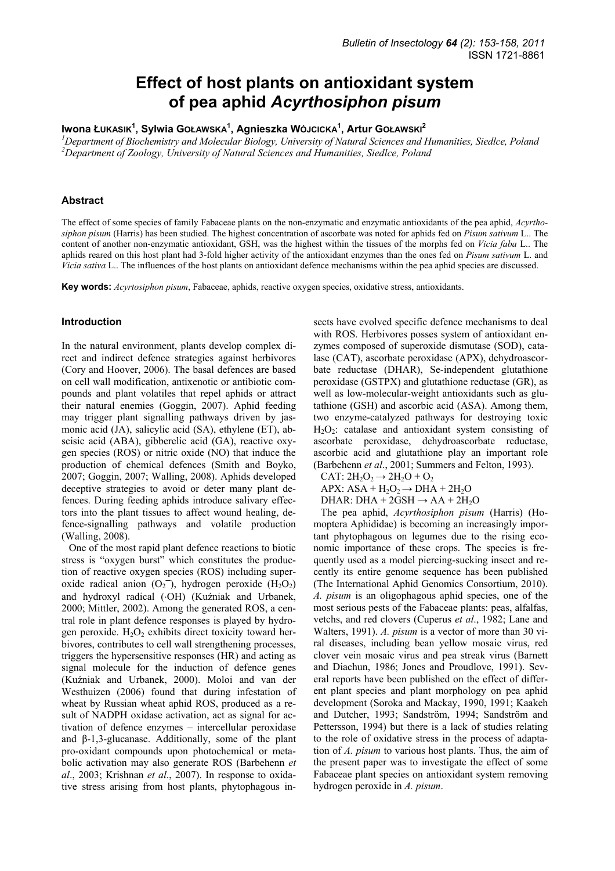# **Effect of host plants on antioxidant system of pea aphid** *Acyrthosiphon pisum*

**Iwona ŁUKASIK1 , Sylwia GOŁAWSKA1 , Agnieszka WÓJCICKA1 , Artur GOŁAWSKI<sup>2</sup>**

<sup>1</sup> Department of Biochemistry and Molecular Biology, University of Natural Sciences and Humanities, Siedlce, Poland<br><sup>2</sup> Department of Zoology, University of Natural Sciences and Humanities, Siedlee, Poland *Department of Zoology, University of Natural Sciences and Humanities, Siedlce, Poland* 

#### **Abstract**

The effect of some species of family Fabaceae plants on the non-enzymatic and enzymatic antioxidants of the pea aphid, *Acyrthosiphon pisum* (Harris) has been studied. The highest concentration of ascorbate was noted for aphids fed on *Pisum sativum* L.. The content of another non-enzymatic antioxidant, GSH, was the highest within the tissues of the morphs fed on *Vicia faba* L.. The aphids reared on this host plant had 3-fold higher activity of the antioxidant enzymes than the ones fed on *Pisum sativum* L. and *Vicia sativa* L.. The influences of the host plants on antioxidant defence mechanisms within the pea aphid species are discussed.

**Key words:** *Acyrtosiphon pisum*, Fabaceae, aphids, reactive oxygen species, oxidative stress, antioxidants.

#### **Introduction**

In the natural environment, plants develop complex direct and indirect defence strategies against herbivores (Cory and Hoover, 2006). The basal defences are based on cell wall modification, antixenotic or antibiotic compounds and plant volatiles that repel aphids or attract their natural enemies (Goggin, 2007). Aphid feeding may trigger plant signalling pathways driven by jasmonic acid (JA), salicylic acid (SA), ethylene (ET), abscisic acid (ABA), gibberelic acid (GA), reactive oxygen species (ROS) or nitric oxide (NO) that induce the production of chemical defences (Smith and Boyko, 2007; Goggin, 2007; Walling, 2008). Aphids developed deceptive strategies to avoid or deter many plant defences. During feeding aphids introduce salivary effectors into the plant tissues to affect wound healing, defence-signalling pathways and volatile production (Walling, 2008).

One of the most rapid plant defence reactions to biotic stress is "oxygen burst" which constitutes the production of reactive oxygen species (ROS) including superoxide radical anion  $(O_2^-)$ , hydrogen peroxide  $(H_2O_2)$ and hydroxyl radical (⋅OH) (Kuźniak and Urbanek, 2000; Mittler, 2002). Among the generated ROS, a central role in plant defence responses is played by hydrogen peroxide.  $H_2O_2$  exhibits direct toxicity toward herbivores, contributes to cell wall strengthening processes, triggers the hypersensitive responses (HR) and acting as signal molecule for the induction of defence genes (Kuźniak and Urbanek, 2000). Moloi and van der Westhuizen (2006) found that during infestation of wheat by Russian wheat aphid ROS, produced as a result of NADPH oxidase activation, act as signal for activation of defence enzymes – intercellular peroxidase and β-1,3-glucanase. Additionally, some of the plant pro-oxidant compounds upon photochemical or metabolic activation may also generate ROS (Barbehenn *et al*., 2003; Krishnan *et al*., 2007). In response to oxidative stress arising from host plants, phytophagous in-

sects have evolved specific defence mechanisms to deal with ROS. Herbivores posses system of antioxidant enzymes composed of superoxide dismutase (SOD), catalase (CAT), ascorbate peroxidase (APX), dehydroascorbate reductase (DHAR), Se-independent glutathione peroxidase (GSTPX) and glutathione reductase (GR), as well as low-molecular-weight antioxidants such as glutathione (GSH) and ascorbic acid (ASA). Among them, two enzyme-catalyzed pathways for destroying toxic  $H_2O_2$ : catalase and antioxidant system consisting of ascorbate peroxidase, dehydroascorbate reductase, ascorbic acid and glutathione play an important role (Barbehenn *et al*., 2001; Summers and Felton, 1993).

- CAT:  $2H_2O_2 \rightarrow 2H_2O + O_2$
- APX:  $ASA + H_2O_2 \rightarrow DHA + 2H_2O$
- DHAR: DHA +  $2GSH \rightarrow AA + 2H_2O$

The pea aphid, *Acyrthosiphon pisum* (Harris) (Homoptera Aphididae) is becoming an increasingly important phytophagous on legumes due to the rising economic importance of these crops. The species is frequently used as a model piercing-sucking insect and recently its entire genome sequence has been published (The International Aphid Genomics Consortium, 2010). *A. pisum* is an oligophagous aphid species, one of the most serious pests of the Fabaceae plants: peas, alfalfas, vetchs, and red clovers (Cuperus *et al*., 1982; Lane and Walters, 1991). *A. pisum* is a vector of more than 30 viral diseases, including bean yellow mosaic virus, red clover vein mosaic virus and pea streak virus (Barnett and Diachun, 1986; Jones and Proudlove, 1991). Several reports have been published on the effect of different plant species and plant morphology on pea aphid development (Soroka and Mackay, 1990, 1991; Kaakeh and Dutcher, 1993; Sandström, 1994; Sandström and Pettersson, 1994) but there is a lack of studies relating to the role of oxidative stress in the process of adaptation of *A. pisum* to various host plants. Thus, the aim of the present paper was to investigate the effect of some Fabaceae plant species on antioxidant system removing hydrogen peroxide in *A. pisum*.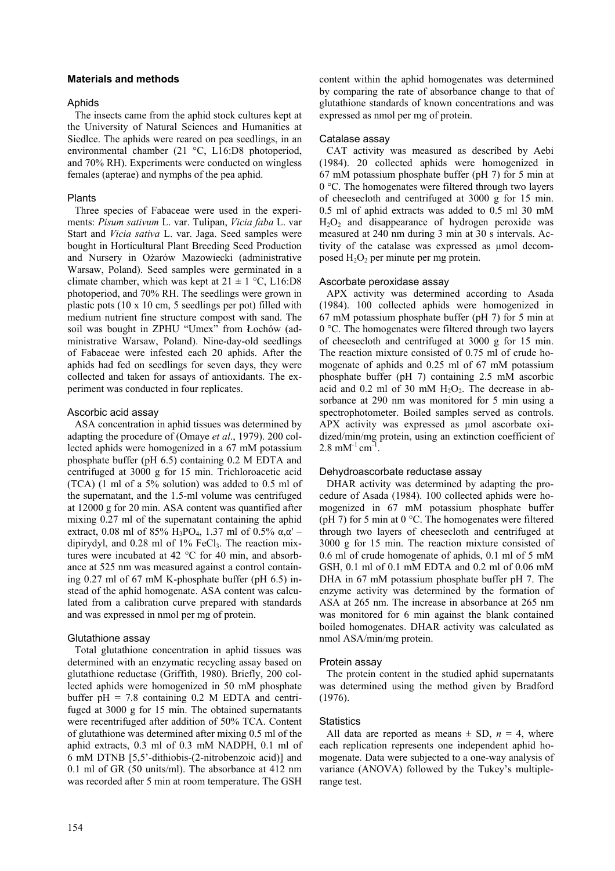#### **Materials and methods**

#### Aphids

The insects came from the aphid stock cultures kept at the University of Natural Sciences and Humanities at Siedlce. The aphids were reared on pea seedlings, in an environmental chamber (21 °C, L16:D8 photoperiod, and 70% RH). Experiments were conducted on wingless females (apterae) and nymphs of the pea aphid.

# Plants

Three species of Fabaceae were used in the experiments: *Pisum sativum* L. var. Tulipan, *Vicia faba* L. var Start and *Vicia sativa* L. var. Jaga. Seed samples were bought in Horticultural Plant Breeding Seed Production and Nursery in Ożarów Mazowiecki (administrative Warsaw, Poland). Seed samples were germinated in a climate chamber, which was kept at  $21 \pm 1$  °C, L16:D8 photoperiod, and 70% RH. The seedlings were grown in plastic pots (10 x 10 cm, 5 seedlings per pot) filled with medium nutrient fine structure compost with sand. The soil was bought in ZPHU "Umex" from Łochów (administrative Warsaw, Poland). Nine-day-old seedlings of Fabaceae were infested each 20 aphids. After the aphids had fed on seedlings for seven days, they were collected and taken for assays of antioxidants. The experiment was conducted in four replicates.

# Ascorbic acid assay

ASA concentration in aphid tissues was determined by adapting the procedure of (Omaye *et al*., 1979). 200 collected aphids were homogenized in a 67 mM potassium phosphate buffer (pH 6.5) containing 0.2 M EDTA and centrifuged at 3000 g for 15 min. Trichloroacetic acid (TCA) (1 ml of a 5% solution) was added to 0.5 ml of the supernatant, and the 1.5-ml volume was centrifuged at 12000 g for 20 min. ASA content was quantified after mixing 0.27 ml of the supernatant containing the aphid extract, 0.08 ml of 85% H<sub>3</sub>PO<sub>4</sub>, 1.37 ml of 0.5% α,α' – dipirydyl, and 0.28 ml of 1% FeCl3. The reaction mixtures were incubated at 42 °C for 40 min, and absorbance at 525 nm was measured against a control containing 0.27 ml of 67 mM K-phosphate buffer (pH 6.5) instead of the aphid homogenate. ASA content was calculated from a calibration curve prepared with standards and was expressed in nmol per mg of protein.

# Glutathione assay

Total glutathione concentration in aphid tissues was determined with an enzymatic recycling assay based on glutathione reductase (Griffith, 1980). Briefly, 200 collected aphids were homogenized in 50 mM phosphate buffer  $pH = 7.8$  containing 0.2 M EDTA and centrifuged at 3000 g for 15 min. The obtained supernatants were recentrifuged after addition of 50% TCA. Content of glutathione was determined after mixing 0.5 ml of the aphid extracts, 0.3 ml of 0.3 mM NADPH, 0.1 ml of 6 mM DTNB [5,5'-dithiobis-(2-nitrobenzoic acid)] and 0.1 ml of GR (50 units/ml). The absorbance at 412 nm was recorded after 5 min at room temperature. The GSH content within the aphid homogenates was determined by comparing the rate of absorbance change to that of glutathione standards of known concentrations and was expressed as nmol per mg of protein.

# Catalase assay

CAT activity was measured as described by Aebi (1984). 20 collected aphids were homogenized in 67 mM potassium phosphate buffer (pH 7) for 5 min at 0 °C. The homogenates were filtered through two layers of cheesecloth and centrifuged at 3000 g for 15 min. 0.5 ml of aphid extracts was added to 0.5 ml 30 mM  $H<sub>2</sub>O<sub>2</sub>$  and disappearance of hydrogen peroxide was measured at 240 nm during 3 min at 30 s intervals. Activity of the catalase was expressed as µmol decomposed  $H_2O_2$  per minute per mg protein.

#### Ascorbate peroxidase assay

APX activity was determined according to Asada (1984). 100 collected aphids were homogenized in 67 mM potassium phosphate buffer (pH 7) for 5 min at 0 °C. The homogenates were filtered through two layers of cheesecloth and centrifuged at 3000 g for 15 min. The reaction mixture consisted of 0.75 ml of crude homogenate of aphids and 0.25 ml of 67 mM potassium phosphate buffer (pH 7) containing 2.5 mM ascorbic acid and  $0.2$  ml of 30 mM  $H_2O_2$ . The decrease in absorbance at 290 nm was monitored for 5 min using a spectrophotometer. Boiled samples served as controls. APX activity was expressed as µmol ascorbate oxidized/min/mg protein, using an extinction coefficient of  $2.8 \text{ mM}^{-1} \text{ cm}^{-1}$ 

# Dehydroascorbate reductase assay

DHAR activity was determined by adapting the procedure of Asada (1984). 100 collected aphids were homogenized in 67 mM potassium phosphate buffer (pH 7) for 5 min at 0 °C. The homogenates were filtered through two layers of cheesecloth and centrifuged at 3000 g for 15 min. The reaction mixture consisted of 0.6 ml of crude homogenate of aphids, 0.1 ml of 5 mM GSH, 0.1 ml of 0.1 mM EDTA and 0.2 ml of 0.06 mM DHA in 67 mM potassium phosphate buffer pH 7. The enzyme activity was determined by the formation of ASA at 265 nm. The increase in absorbance at 265 nm was monitored for 6 min against the blank contained boiled homogenates. DHAR activity was calculated as nmol ASA/min/mg protein.

# Protein assay

The protein content in the studied aphid supernatants was determined using the method given by Bradford (1976).

#### **Statistics**

All data are reported as means  $\pm$  SD,  $n = 4$ , where each replication represents one independent aphid homogenate. Data were subjected to a one-way analysis of variance (ANOVA) followed by the Tukey's multiplerange test.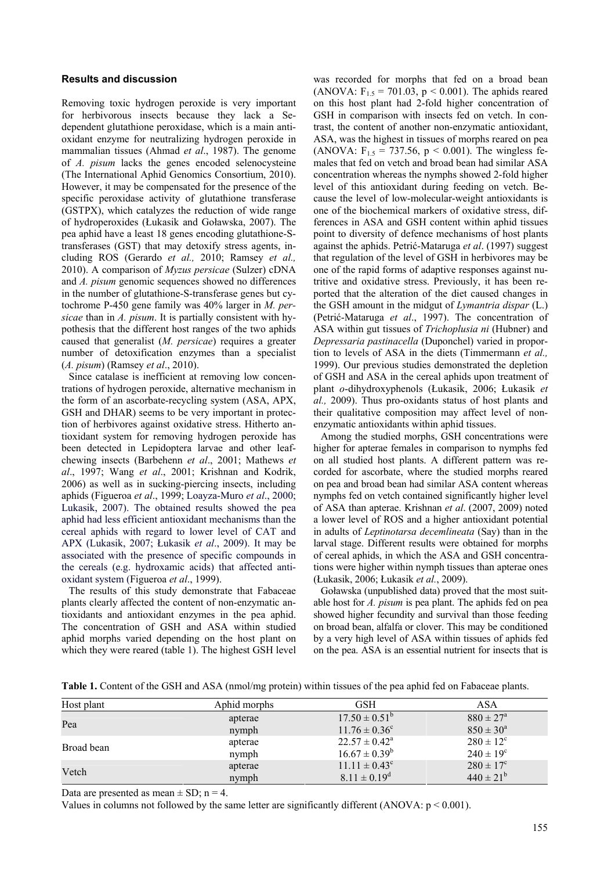#### **Results and discussion**

Removing toxic hydrogen peroxide is very important for herbivorous insects because they lack a Sedependent glutathione peroxidase, which is a main antioxidant enzyme for neutralizing hydrogen peroxide in mammalian tissues (Ahmad *et al*., 1987). The genome of *A. pisum* lacks the genes encoded selenocysteine (The International Aphid Genomics Consortium, 2010). However, it may be compensated for the presence of the specific peroxidase activity of glutathione transferase (GSTPX), which catalyzes the reduction of wide range of hydroperoxides (Łukasik and Goławska, 2007). The pea aphid have a least 18 genes encoding glutathione-Stransferases (GST) that may detoxify stress agents, including ROS (Gerardo *et al.,* 2010; Ramsey *et al.,* 2010). A comparison of *Myzus persicae* (Sulzer) cDNA and *A. pisum* genomic sequences showed no differences in the number of glutathione-S-transferase genes but cytochrome P-450 gene family was 40% larger in *M. persicae* than in *A. pisum*. It is partially consistent with hypothesis that the different host ranges of the two aphids caused that generalist (*M. persicae*) requires a greater number of detoxification enzymes than a specialist (*A. pisum*) (Ramsey *et al*., 2010).

Since catalase is inefficient at removing low concentrations of hydrogen peroxide, alternative mechanism in the form of an ascorbate-recycling system (ASA, APX, GSH and DHAR) seems to be very important in protection of herbivores against oxidative stress. Hitherto antioxidant system for removing hydrogen peroxide has been detected in Lepidoptera larvae and other leafchewing insects (Barbehenn *et al*., 2001; Mathews *et al*., 1997; Wang *et al*., 2001; Krishnan and Kodrik, 2006) as well as in sucking-piercing insects, including aphids (Figueroa *et al*., 1999; Loayza-Muro *et al*., 2000; Lukasik, 2007). The obtained results showed the pea aphid had less efficient antioxidant mechanisms than the cereal aphids with regard to lower level of CAT and APX (Lukasik, 2007; Łukasik *et al*., 2009). It may be associated with the presence of specific compounds in the cereals (e.g. hydroxamic acids) that affected antioxidant system (Figueroa *et al*., 1999).

The results of this study demonstrate that Fabaceae plants clearly affected the content of non-enzymatic antioxidants and antioxidant enzymes in the pea aphid. The concentration of GSH and ASA within studied aphid morphs varied depending on the host plant on which they were reared (table 1). The highest GSH level

was recorded for morphs that fed on a broad bean (ANOVA:  $F_{1.5} = 701.03$ ,  $p < 0.001$ ). The aphids reared on this host plant had 2-fold higher concentration of GSH in comparison with insects fed on vetch. In contrast, the content of another non-enzymatic antioxidant, ASA, was the highest in tissues of morphs reared on pea (ANOVA:  $F_{1.5} = 737.56$ ,  $p < 0.001$ ). The wingless females that fed on vetch and broad bean had similar ASA concentration whereas the nymphs showed 2-fold higher level of this antioxidant during feeding on vetch. Because the level of low-molecular-weight antioxidants is one of the biochemical markers of oxidative stress, differences in ASA and GSH content within aphid tissues point to diversity of defence mechanisms of host plants against the aphids. Petrić-Mataruga *et al*. (1997) suggest that regulation of the level of GSH in herbivores may be one of the rapid forms of adaptive responses against nutritive and oxidative stress. Previously, it has been reported that the alteration of the diet caused changes in the GSH amount in the midgut of *Lymantria dispar* (L.) (Petrić-Mataruga *et al*., 1997). The concentration of ASA within gut tissues of *Trichoplusia ni* (Hubner) and *Depressaria pastinacella* (Duponchel) varied in proportion to levels of ASA in the diets (Timmermann *et al.,* 1999). Our previous studies demonstrated the depletion of GSH and ASA in the cereal aphids upon treatment of plant *o*-dihydroxyphenols (Łukasik, 2006; Łukasik *et al.,* 2009). Thus pro-oxidants status of host plants and their qualitative composition may affect level of nonenzymatic antioxidants within aphid tissues.

Among the studied morphs, GSH concentrations were higher for apterae females in comparison to nymphs fed on all studied host plants. A different pattern was recorded for ascorbate, where the studied morphs reared on pea and broad bean had similar ASA content whereas nymphs fed on vetch contained significantly higher level of ASA than apterae. Krishnan *et al*. (2007, 2009) noted a lower level of ROS and a higher antioxidant potential in adults of *Leptinotarsa decemlineata* (Say) than in the larval stage. Different results were obtained for morphs of cereal aphids, in which the ASA and GSH concentrations were higher within nymph tissues than apterae ones (Łukasik, 2006; Łukasik *et al.*, 2009).

Goławska (unpublished data) proved that the most suitable host for *A. pisum* is pea plant. The aphids fed on pea showed higher fecundity and survival than those feeding on broad bean, alfalfa or clover. This may be conditioned by a very high level of ASA within tissues of aphids fed on the pea. ASA is an essential nutrient for insects that is

**Table 1.** Content of the GSH and ASA (nmol/mg protein) within tissues of the pea aphid fed on Fabaceae plants.

| Host plant | Aphid morphs | GSH                      | ASA                  |
|------------|--------------|--------------------------|----------------------|
| Pea        | apterae      | $17.50 \pm 0.51^{\circ}$ | $880 \pm 27^{\rm a}$ |
|            | nymph        | $11.76 \pm 0.36^{\circ}$ | $850 \pm 30^{\circ}$ |
| Broad bean | apterae      | $22.57 \pm 0.42^{\circ}$ | $280 \pm 12^{\circ}$ |
|            | nymph        | $16.67 \pm 0.39^b$       | $240 \pm 19^{\circ}$ |
| Vetch      | apterae      | $11.11 \pm 0.43^c$       | $280 \pm 17^{\circ}$ |
|            | nymph        | $8.11 \pm 0.19^d$        | $440 \pm 21^{6}$     |

Data are presented as mean  $\pm$  SD; n = 4.

Values in columns not followed by the same letter are significantly different (ANOVA:  $p \le 0.001$ ).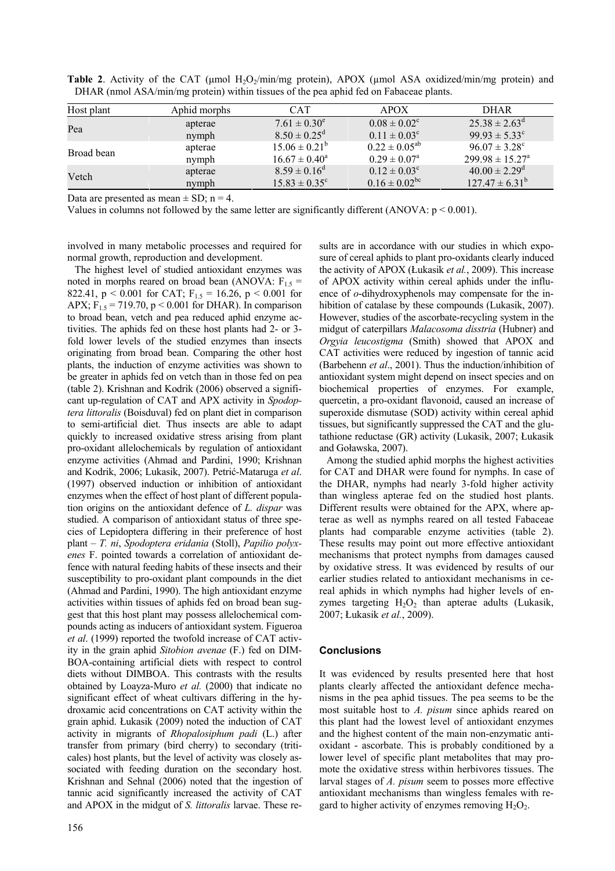| Host plant | Aphid morphs | <b>CAT</b>               | APOX                    | <b>DHAR</b>                   |
|------------|--------------|--------------------------|-------------------------|-------------------------------|
| Pea        | apterae      | $7.61 \pm 0.30^e$        | $0.08 \pm 0.02^c$       | $25.38 \pm 2.63^{\circ}$      |
|            | nymph        | $8.50 \pm 0.25^{\circ}$  | $0.11 \pm 0.03^c$       | $99.93 \pm 5.33^{\circ}$      |
| Broad bean | apterae      | $15.06 \pm 0.21^{\circ}$ | $0.22 \pm 0.05^{ab}$    | $96.07 \pm 3.28^{\circ}$      |
|            | nymph        | $16.67 \pm 0.40^{\circ}$ | $0.29 \pm 0.07^{\rm a}$ | $299.98 \pm 15.27^{\circ}$    |
| Vetch      | apterae      | $8.59 \pm 0.16^{\circ}$  | $0.12 \pm 0.03^{\circ}$ | $40.00 \pm 2.29$ <sup>d</sup> |
|            | nymph        | $15.83 \pm 0.35^{\circ}$ | $0.16 \pm 0.02^{bc}$    | $127.47 \pm 6.31^b$           |

**Table 2.** Activity of the CAT ( $\mu$ mol H<sub>2</sub>O<sub>2</sub>/min/mg protein), APOX ( $\mu$ mol ASA oxidized/min/mg protein) and DHAR (nmol ASA/min/mg protein) within tissues of the pea aphid fed on Fabaceae plants.

Data are presented as mean  $\pm$  SD; n = 4.

Values in columns not followed by the same letter are significantly different (ANOVA:  $p \le 0.001$ ).

involved in many metabolic processes and required for normal growth, reproduction and development.

The highest level of studied antioxidant enzymes was noted in morphs reared on broad bean (ANOVA:  $F_{1.5}$  = 822.41,  $p < 0.001$  for CAT;  $F_{1.5} = 16.26$ ,  $p < 0.001$  for APX;  $F_{1.5} = 719.70$ ,  $p < 0.001$  for DHAR). In comparison to broad bean, vetch and pea reduced aphid enzyme activities. The aphids fed on these host plants had 2- or 3 fold lower levels of the studied enzymes than insects originating from broad bean. Comparing the other host plants, the induction of enzyme activities was shown to be greater in aphids fed on vetch than in those fed on pea (table 2). Krishnan and Kodrik (2006) observed a significant up-regulation of CAT and APX activity in *Spodoptera littoralis* (Boisduval) fed on plant diet in comparison to semi-artificial diet. Thus insects are able to adapt quickly to increased oxidative stress arising from plant pro-oxidant allelochemicals by regulation of antioxidant enzyme activities (Ahmad and Pardini, 1990; Krishnan and Kodrik, 2006; Lukasik, 2007). Petrić-Mataruga *et al*. (1997) observed induction or inhibition of antioxidant enzymes when the effect of host plant of different population origins on the antioxidant defence of *L. dispar* was studied. A comparison of antioxidant status of three species of Lepidoptera differing in their preference of host plant – *T. ni*, *Spodoptera eridania* (Stoll), *Papilio polyxenes* F. pointed towards a correlation of antioxidant defence with natural feeding habits of these insects and their susceptibility to pro-oxidant plant compounds in the diet (Ahmad and Pardini, 1990). The high antioxidant enzyme activities within tissues of aphids fed on broad bean suggest that this host plant may possess allelochemical compounds acting as inducers of antioxidant system. Figueroa *et al*. (1999) reported the twofold increase of CAT activity in the grain aphid *Sitobion avenae* (F.) fed on DIM-BOA-containing artificial diets with respect to control diets without DIMBOA. This contrasts with the results obtained by Loayza-Muro *et al.* (2000) that indicate no significant effect of wheat cultivars differing in the hydroxamic acid concentrations on CAT activity within the grain aphid. Łukasik (2009) noted the induction of CAT activity in migrants of *Rhopalosiphum padi* (L.) after transfer from primary (bird cherry) to secondary (triticales) host plants, but the level of activity was closely associated with feeding duration on the secondary host. Krishnan and Sehnal (2006) noted that the ingestion of tannic acid significantly increased the activity of CAT and APOX in the midgut of *S. littoralis* larvae. These results are in accordance with our studies in which exposure of cereal aphids to plant pro-oxidants clearly induced the activity of APOX (Łukasik *et al.*, 2009). This increase of APOX activity within cereal aphids under the influence of *o*-dihydroxyphenols may compensate for the inhibition of catalase by these compounds (Lukasik, 2007). However, studies of the ascorbate-recycling system in the midgut of caterpillars *Malacosoma disstria* (Hubner) and *Orgyia leucostigma* (Smith) showed that APOX and CAT activities were reduced by ingestion of tannic acid (Barbehenn *et al*., 2001). Thus the induction/inhibition of antioxidant system might depend on insect species and on biochemical properties of enzymes. For example, quercetin, a pro-oxidant flavonoid, caused an increase of superoxide dismutase (SOD) activity within cereal aphid tissues, but significantly suppressed the CAT and the glutathione reductase (GR) activity (Lukasik, 2007; Łukasik and Goławska, 2007).

Among the studied aphid morphs the highest activities for CAT and DHAR were found for nymphs. In case of the DHAR, nymphs had nearly 3-fold higher activity than wingless apterae fed on the studied host plants. Different results were obtained for the APX, where apterae as well as nymphs reared on all tested Fabaceae plants had comparable enzyme activities (table 2). These results may point out more effective antioxidant mechanisms that protect nymphs from damages caused by oxidative stress. It was evidenced by results of our earlier studies related to antioxidant mechanisms in cereal aphids in which nymphs had higher levels of enzymes targeting  $H_2O_2$  than apterae adults (Lukasik, 2007; Łukasik *et al.*, 2009).

# **Conclusions**

It was evidenced by results presented here that host plants clearly affected the antioxidant defence mechanisms in the pea aphid tissues. The pea seems to be the most suitable host to *A. pisum* since aphids reared on this plant had the lowest level of antioxidant enzymes and the highest content of the main non-enzymatic antioxidant - ascorbate. This is probably conditioned by a lower level of specific plant metabolites that may promote the oxidative stress within herbivores tissues. The larval stages of *A. pisum* seem to posses more effective antioxidant mechanisms than wingless females with regard to higher activity of enzymes removing  $H_2O_2$ .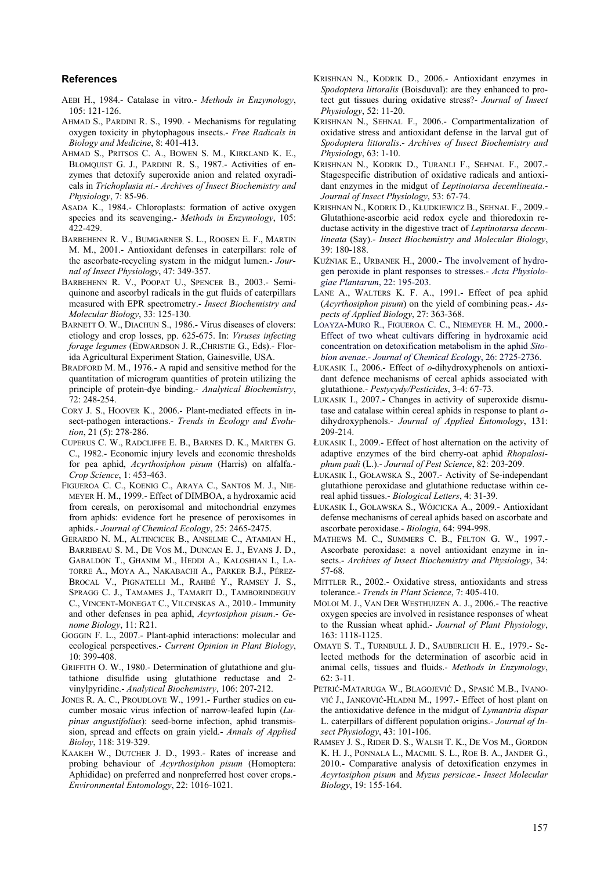#### **References**

- AEBI H., 1984.- Catalase in vitro.- *Methods in Enzymology*,  $105 \cdot 121 - 126$
- AHMAD S., PARDINI R. S., 1990. Mechanisms for regulating oxygen toxicity in phytophagous insects.- *Free Radicals in Biology and Medicine*, 8: 401-413.
- AHMAD S., PRITSOS C. A., BOWEN S. M., KIRKLAND K. E., BLOMQUIST G. J., PARDINI R. S., 1987.- Activities of enzymes that detoxify superoxide anion and related oxyradicals in *Trichoplusia ni*.- *Archives of Insect Biochemistry and Physiology*, 7: 85-96.
- ASADA K., 1984.- Chloroplasts: formation of active oxygen species and its scavenging.- *Methods in Enzymology*, 105: 422-429.
- BARBEHENN R. V., BUMGARNER S. L., ROOSEN E. F., MARTIN M. M., 2001.- Antioxidant defenses in caterpillars: role of the ascorbate-recycling system in the midgut lumen.- *Journal of Insect Physiology*, 47: 349-357.
- BARBEHENN R. V., POOPAT U., SPENCER B., 2003.- Semiquinone and ascorbyl radicals in the gut fluids of caterpillars measured with EPR spectrometry.- *Insect Biochemistry and Molecular Biology*, 33: 125-130.
- BARNETT O. W., DIACHUN S., 1986.- Virus diseases of clovers: etiology and crop losses, pp. 625-675. In: *Viruses infecting forage legumes* (EDWARDSON J. R.,CHRISTIE G., Eds).- Florida Agricultural Experiment Station, Gainesville, USA.
- BRADFORD M. M., 1976.- A rapid and sensitive method for the quantitation of microgram quantities of protein utilizing the principle of protein-dye binding.- *Analytical Biochemistry*, 72: 248-254.
- CORY J. S., HOOVER K., 2006.- Plant-mediated effects in insect-pathogen interactions.- *Trends in Ecology and Evolution*, 21 (5): 278-286.
- CUPERUS C. W., RADCLIFFE E. B., BARNES D. K., MARTEN G. C., 1982.- Economic injury levels and economic thresholds for pea aphid, *Acyrthosiphon pisum* (Harris) on alfalfa.- *Crop Science*, 1: 453-463.
- FIGUEROA C. C., KOENIG C., ARAYA C., SANTOS M. J., NIE-MEYER H. M., 1999.- Effect of DIMBOA, a hydroxamic acid from cereals, on peroxisomal and mitochondrial enzymes from aphids: evidence fort he presence of peroxisomes in aphids.- *Journal of Chemical Ecology*, 25: 2465-2475.
- GERARDO N. M., ALTINCICEK B., ANSELME C., ATAMIAN H., BARRIBEAU S. M., DE VOS M., DUNCAN E. J., EVANS J. D., GABALDÓN T., GHANIM M., HEDDI A., KALOSHIAN I., LA-TORRE A., MOYA A., NAKABACHI A., PARKER B.J., PÉREZ-BROCAL V., PIGNATELLI M., RAHBÉ Y., RAMSEY J. S., SPRAGG C. J., TAMAMES J., TAMARIT D., TAMBORINDEGUY C., VINCENT-MONEGAT C., VILCINSKAS A., 2010.- Immunity and other defenses in pea aphid, *Acyrtosiphon pisum*.- *Genome Biology*, 11: R21.
- GOGGIN F. L., 2007.- Plant-aphid interactions: molecular and ecological perspectives.- *Current Opinion in Plant Biology*,  $10.399 - 408$
- GRIFFITH O. W., 1980.- Determination of glutathione and glutathione disulfide using glutathione reductase and 2 vinylpyridine.- *Analytical Biochemistry*, 106: 207-212.
- JONES R. A. C., PROUDLOVE W., 1991.- Further studies on cucumber mosaic virus infection of narrow-leafed lupin (*Lupinus angustifolius*): seed-borne infection, aphid transmission, spread and effects on grain yield.- *Annals of Applied Bioloy*, 118: 319-329.
- KAAKEH W., DUTCHER J. D., 1993.- Rates of increase and probing behaviour of *Acyrthosiphon pisum* (Homoptera: Aphididae) on preferred and nonpreferred host cover crops.- *Environmental Entomology*, 22: 1016-1021.
- KRISHNAN N., KODRIK D., 2006.- Antioxidant enzymes in *Spodoptera littoralis* (Boisduval): are they enhanced to protect gut tissues during oxidative stress?- *Journal of Insect Physiology*, 52: 11-20.
- KRISHNAN N., SEHNAL F., 2006.- Compartmentalization of oxidative stress and antioxidant defense in the larval gut of *Spodoptera littoralis*.- *Archives of Insect Biochemistry and Physiology*, 63: 1-10.
- KRISHNAN N., KODRIK D., TURANLI F., SEHNAL F., 2007.- Stagespecific distribution of oxidative radicals and antioxidant enzymes in the midgut of *Leptinotarsa decemlineata*.- *Journal of Insect Physiology*, 53: 67-74.
- KRISHNAN N., KODRIK D., KŁUDKIEWICZ B., SEHNAL F., 2009.- Glutathione-ascorbic acid redox cycle and thioredoxin reductase activity in the digestive tract of *Leptinotarsa decemlineata* (Say).- *Insect Biochemistry and Molecular Biology*, 39: 180-188.
- KUŹNIAK E., URBANEK H., 2000.- The involvement of hydrogen peroxide in plant responses to stresses.- *Acta Physiologiae Plantarum*, 22: 195-203.
- LANE A., WALTERS K. F. A., 1991.- Effect of pea aphid (*Acyrthosiphon pisum*) on the yield of combining peas.- *Aspects of Applied Biology*, 27: 363-368.
- LOAYZA-MURO R., FIGUEROA C. C., NIEMEYER H. M., 2000.- Effect of two wheat cultivars differing in hydroxamic acid concentration on detoxification metabolism in the aphid *Sitobion avenae*.- *Journal of Chemical Ecology*, 26: 2725-2736.
- ŁUKASIK I., 2006.- Effect of *o*-dihydroxyphenols on antioxidant defence mechanisms of cereal aphids associated with glutathione.- *Pestycydy/Pesticides*, 3-4: 67-73.
- LUKASIK I., 2007.- Changes in activity of superoxide dismutase and catalase within cereal aphids in response to plant *o*dihydroxyphenols.- *Journal of Applied Entomology*, 131: 209-214.
- ŁUKASIK I., 2009.- Effect of host alternation on the activity of adaptive enzymes of the bird cherry-oat aphid *Rhopalosiphum padi* (L.).- *Journal of Pest Science*, 82: 203-209.
- ŁUKASIK I., GOŁAWSKA S., 2007.- Activity of Se-independant glutathione peroxidase and glutathione reductase within cereal aphid tissues.- *Biological Letters*, 4: 31-39.
- ŁUKASIK I., GOŁAWSKA S., WÓJCICKA A., 2009.- Antioxidant defense mechanisms of cereal aphids based on ascorbate and ascorbate peroxidase.- *Biologia*, 64: 994-998.
- MATHEWS M. C., SUMMERS C. B., FELTON G. W., 1997.- Ascorbate peroxidase: a novel antioxidant enzyme in insects.- *Archives of Insect Biochemistry and Physiology*, 34: 57-68.
- MITTLER R., 2002.- Oxidative stress, antioxidants and stress tolerance.- *Trends in Plant Science*, 7: 405-410.
- MOLOI M. J., VAN DER WESTHUIZEN A. J., 2006.- The reactive oxygen species are involved in resistance responses of wheat to the Russian wheat aphid.- *Journal of Plant Physiology*, 163: 1118-1125.
- OMAYE S. T., TURNBULL J. D., SAUBERLICH H. E., 1979.- Selected methods for the determination of ascorbic acid in animal cells, tissues and fluids.- *Methods in Enzymology*,  $62 \cdot 3 - 11$
- PETRIĆ-MATARUGA W., BLAGOJEVIĆ D., SPASIĆ M.B., IVANO-VIĆ J., JANKOVIĆ-HLADNI M., 1997.- Effect of host plant on the antioxidative defence in the midgut of *Lymantria dispar* L. caterpillars of different population origins.- *Journal of Insect Physiology*, 43: 101-106.
- RAMSEY J. S., RIDER D. S., WALSH T. K., DE VOS M., GORDON K. H. J., PONNALA L., MACMIL S. L., ROE B. A., JANDER G., 2010.- Comparative analysis of detoxification enzymes in *Acyrtosiphon pisum* and *Myzus persicae*.- *Insect Molecular Biology*, 19: 155-164.